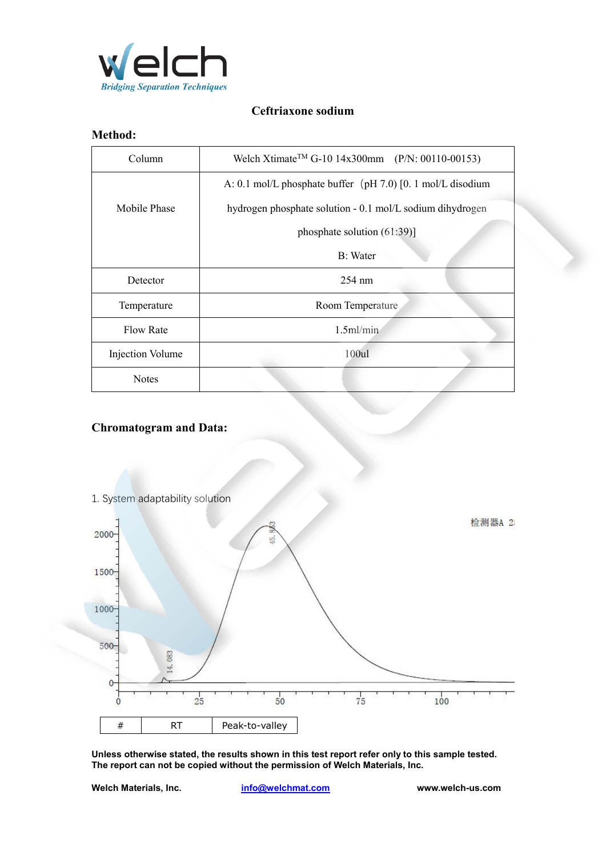

## **Ceftriaxone sodium**

## **Method:**

| Column           | Welch Xtimate <sup>TM</sup> G-10 14x300mm (P/N: 00110-00153) |  |
|------------------|--------------------------------------------------------------|--|
|                  | A: 0.1 mol/L phosphate buffer (pH 7.0) [0. 1 mol/L disodium  |  |
| Mobile Phase     | hydrogen phosphate solution - 0.1 mol/L sodium dihydrogen    |  |
|                  | phosphate solution $(61:39)$ ]                               |  |
|                  | B: Water                                                     |  |
| Detector         | $254 \text{ nm}$                                             |  |
| Temperature      | Room Temperature                                             |  |
| <b>Flow Rate</b> | $1.5$ ml/min                                                 |  |
| Injection Volume | 100ul                                                        |  |
| <b>Notes</b>     |                                                              |  |

## **Chromatogram and Data:**



**Unless otherwise stated, the results shown in this test report refer only to this sample tested. The report can not be copied without the permission of Welch Materials, Inc.**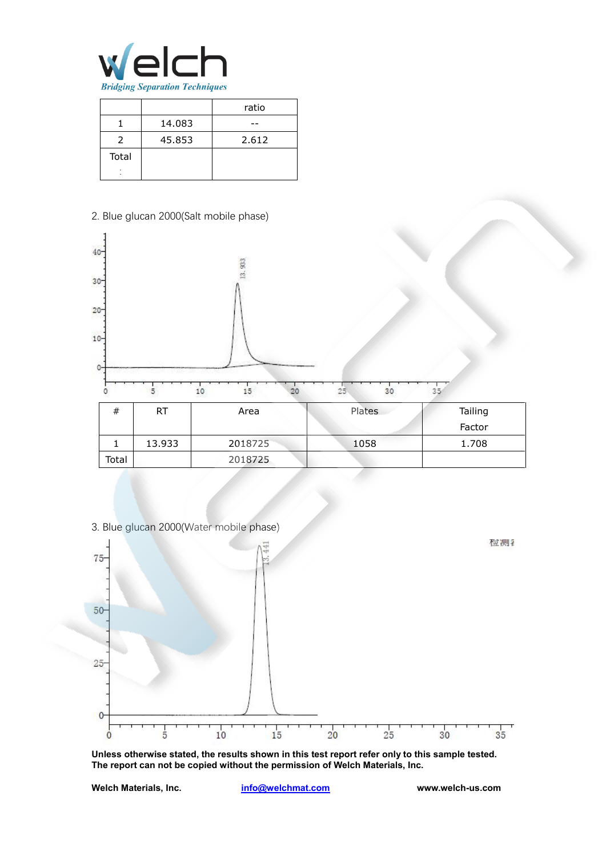

|       |        | ratio |
|-------|--------|-------|
|       | 14.083 |       |
|       | 45.853 | 2.612 |
| Total |        |       |
| ۰     |        |       |



3. Blue glucan 2000(Water mobile phase)



**Unless otherwise stated, the results shown in this test report refer only to this sample tested. The report can not be copied without the permission of Welch Materials, Inc.**